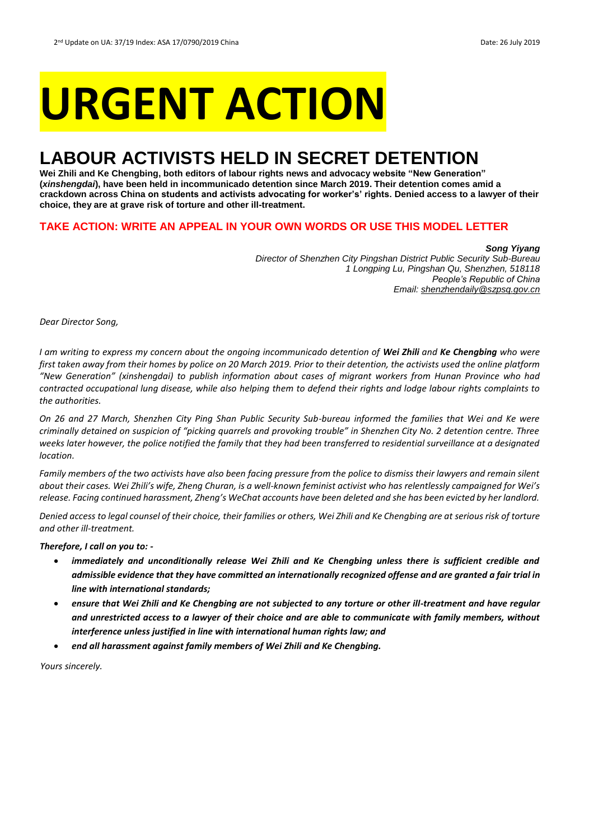# **URGENT ACTION**

## **LABOUR ACTIVISTS HELD IN SECRET DETENTION**

**Wei Zhili and Ke Chengbing, both editors of labour rights news and advocacy website "New Generation" (***xinshengdai***), have been held in incommunicado detention since March 2019. Their detention comes amid a crackdown across China on students and activists advocating for worker's' rights. Denied access to a lawyer of their choice, they are at grave risk of torture and other ill-treatment.**

#### **TAKE ACTION: WRITE AN APPEAL IN YOUR OWN WORDS OR USE THIS MODEL LETTER**

*Song Yiyang Director of Shenzhen City Pingshan District Public Security Sub-Bureau 1 Longping Lu, Pingshan Qu, Shenzhen, 518118 People's Republic of China Email: shenzhendaily@szpsq.gov.cn*

*Dear Director Song,*

*I am writing to express my concern about the ongoing incommunicado detention of Wei Zhili and Ke Chengbing who were first taken away from their homes by police on 20 March 2019. Prior to their detention, the activists used the online platform "New Generation" (xinshengdai) to publish information about cases of migrant workers from Hunan Province who had contracted occupational lung disease, while also helping them to defend their rights and lodge labour rights complaints to the authorities.* 

*On 26 and 27 March, Shenzhen City Ping Shan Public Security Sub-bureau informed the families that Wei and Ke were criminally detained on suspicion of "picking quarrels and provoking trouble" in Shenzhen City No. 2 detention centre. Three weeks later however, the police notified the family that they had been transferred to residential surveillance at a designated location.* 

*Family members of the two activists have also been facing pressure from the police to dismiss their lawyers and remain silent about their cases. Wei Zhili's wife, Zheng Churan, is a well-known feminist activist who has relentlessly campaigned for Wei's release. Facing continued harassment, Zheng's WeChat accounts have been deleted and she has been evicted by her landlord.* 

*Denied access to legal counsel of their choice, their families or others, Wei Zhili and Ke Chengbing are at serious risk of torture and other ill-treatment.*

*Therefore, I call on you to: -*

- *immediately and unconditionally release Wei Zhili and Ke Chengbing unless there is sufficient credible and admissible evidence that they have committed an internationally recognized offense and are granted a fair trial in line with international standards;*
- *ensure that Wei Zhili and Ke Chengbing are not subjected to any torture or other ill-treatment and have regular and unrestricted access to a lawyer of their choice and are able to communicate with family members, without interference unless justified in line with international human rights law; and*
- *end all harassment against family members of Wei Zhili and Ke Chengbing.*

*Yours sincerely.*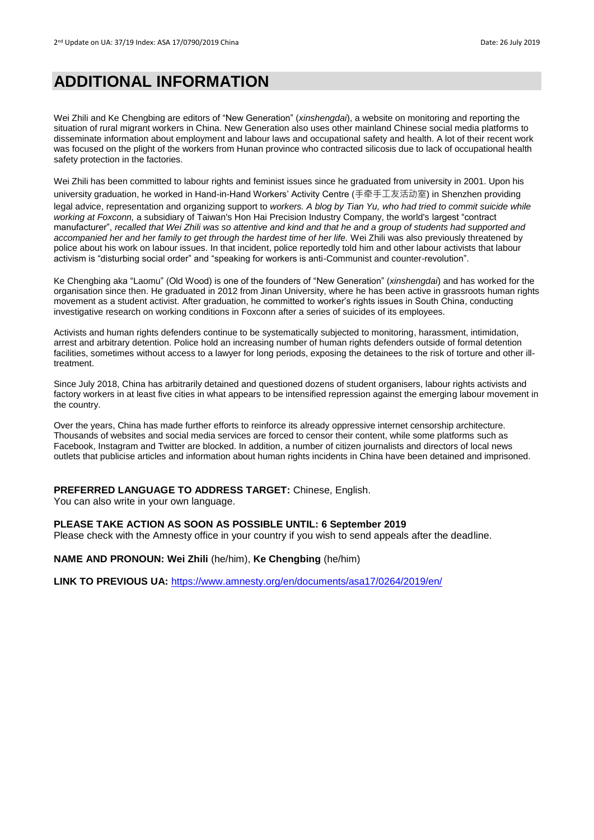### **ADDITIONAL INFORMATION**

Wei Zhili and Ke Chengbing are editors of "New Generation" (*xinshengdai*), a website on monitoring and reporting the situation of rural migrant workers in China. New Generation also uses other mainland Chinese social media platforms to disseminate information about employment and labour laws and occupational safety and health. A lot of their recent work was focused on the plight of the workers from Hunan province who contracted silicosis due to lack of occupational health safety protection in the factories.

Wei Zhili has been committed to labour rights and feminist issues since he graduated from university in 2001. Upon his university graduation, he worked in Hand-in-Hand Workers' Activity Centre (手牵手工友活动室) in Shenzhen providing legal advice, representation and organizing support to *workers. A blog by Tian Yu, who had tried to commit suicide while working at Foxconn,* a subsidiary of Taiwan's Hon Hai Precision Industry Company, the world's largest "contract manufacturer", *recalled that Wei Zhili was so attentive and kind and that he and a group of students had supported and accompanied her and her family to get through the hardest time of her life.* Wei Zhili was also previously threatened by police about his work on labour issues. In that incident, police reportedly told him and other labour activists that labour activism is "disturbing social order" and "speaking for workers is anti-Communist and counter-revolution".

Ke Chengbing aka "Laomu" (Old Wood) is one of the founders of "New Generation" (*xinshengdai*) and has worked for the organisation since then. He graduated in 2012 from Jinan University, where he has been active in grassroots human rights movement as a student activist. After graduation, he committed to worker's rights issues in South China, conducting investigative research on working conditions in Foxconn after a series of suicides of its employees.

Activists and human rights defenders continue to be systematically subjected to monitoring, harassment, intimidation, arrest and arbitrary detention. Police hold an increasing number of human rights defenders outside of formal detention facilities, sometimes without access to a lawyer for long periods, exposing the detainees to the risk of torture and other illtreatment.

Since July 2018, China has arbitrarily detained and questioned dozens of student organisers, labour rights activists and factory workers in at least five cities in what appears to be intensified repression against the emerging labour movement in the country.

Over the years, China has made further efforts to reinforce its already oppressive internet censorship architecture. Thousands of websites and social media services are forced to censor their content, while some platforms such as Facebook, Instagram and Twitter are blocked. In addition, a number of citizen journalists and directors of local news outlets that publicise articles and information about human rights incidents in China have been detained and imprisoned.

#### **PREFERRED LANGUAGE TO ADDRESS TARGET:** Chinese, English.

You can also write in your own language.

#### **PLEASE TAKE ACTION AS SOON AS POSSIBLE UNTIL: 6 September 2019**

Please check with the Amnesty office in your country if you wish to send appeals after the deadline.

**NAME AND PRONOUN: Wei Zhili** (he/him), **Ke Chengbing** (he/him)

**LINK TO PREVIOUS UA:** <https://www.amnesty.org/en/documents/asa17/0264/2019/en/>